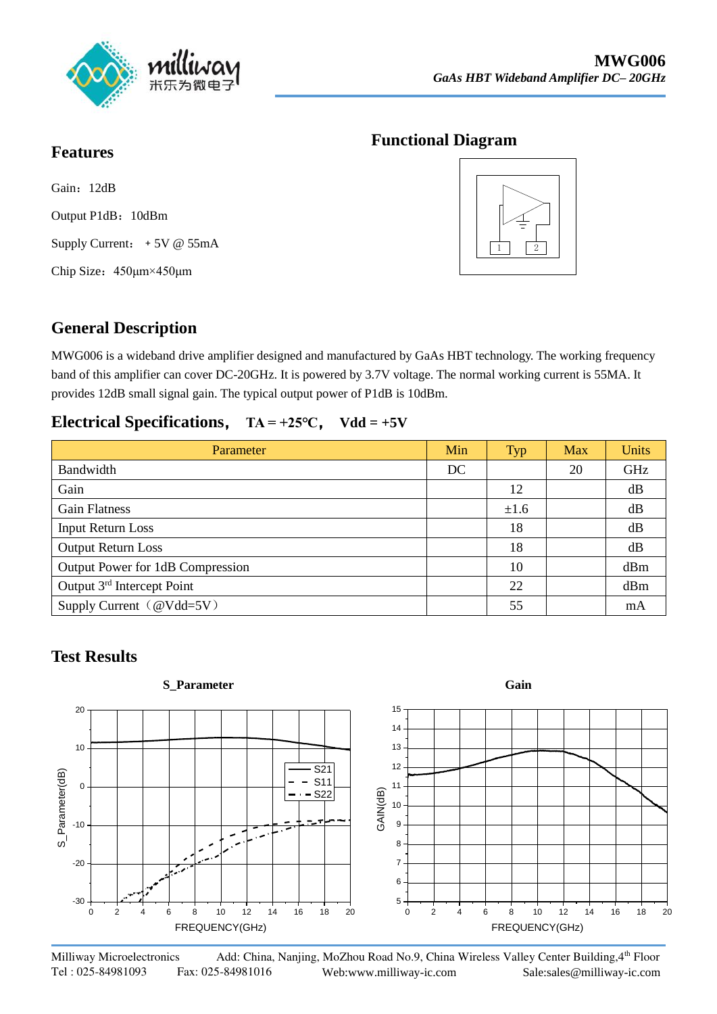

## **Functional Diagram**

Gain: 12dB Output P1dB: 10dBm Supply Current: +5V @ 55mA Chip Size:450μm×450μm

**Features**



## **General Description**

MWG006 is a wideband drive amplifier designed and manufactured by GaAs HBT technology. The working frequency band of this amplifier can cover DC-20GHz. It is powered by 3.7V voltage. The normal working current is 55MA. It provides 12dB small signal gain. The typical output power of P1dB is 10dBm.

## **Electrical Specifications**, **TA = +25℃**, **Vdd = +5V**

| Parameter                          | Min | Typ  | <b>Max</b> | <b>Units</b> |
|------------------------------------|-----|------|------------|--------------|
| Bandwidth                          | DC  |      | 20         | GHz          |
| Gain                               |     | 12   |            | dB           |
| <b>Gain Flatness</b>               |     | ±1.6 |            | dB           |
| <b>Input Return Loss</b>           |     | 18   |            | dB           |
| <b>Output Return Loss</b>          |     | 18   |            | dB           |
| Output Power for 1dB Compression   |     | 10   |            | dBm          |
| Output $3rd$ Intercept Point       |     | 22   |            | dBm          |
| Supply Current $(\omega V d d=5V)$ |     | 55   |            | mA           |

## **Test Results**

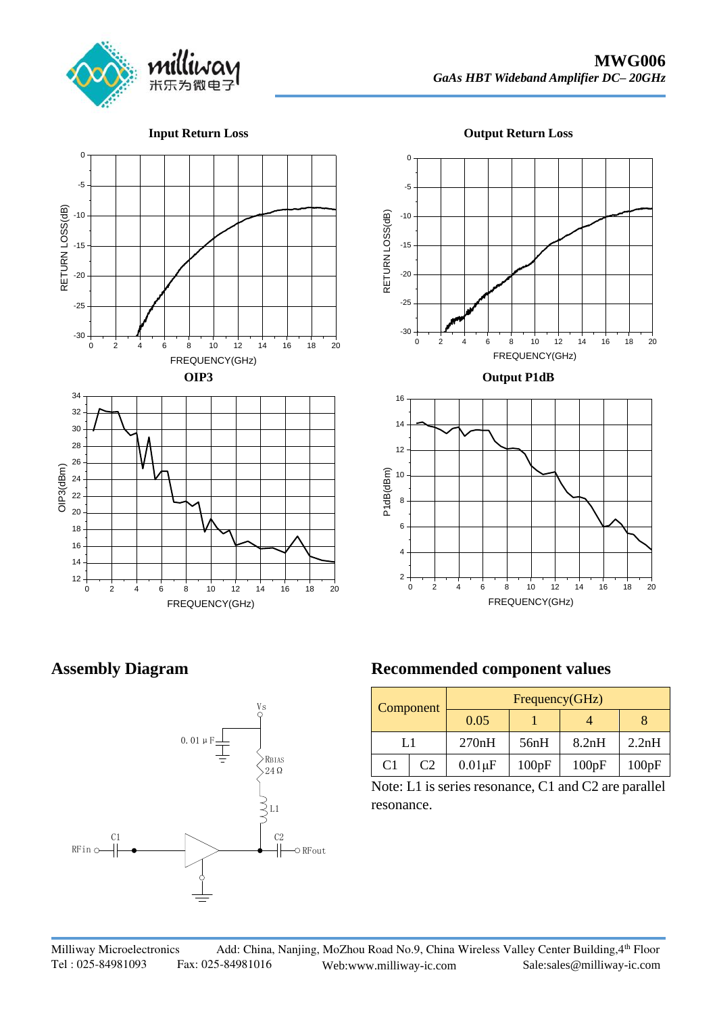

**Input Return Loss**







### **Output P1dB**



**Assembly Diagram**



|                     | <b>Recommended component values</b> |           |                |       |       |       |  |
|---------------------|-------------------------------------|-----------|----------------|-------|-------|-------|--|
| Vs<br>O             |                                     | Component | Frequency(GHz) |       |       |       |  |
|                     |                                     |           | 0.05           |       |       |       |  |
|                     |                                     |           | 270nH          | 56nH  | 8.2nH | 2.2nH |  |
| RBIAS<br>$24\Omega$ | C1                                  | C2        | $0.01 \mu F$   | 100pF | 100pF | 100pF |  |

Note: L1 is series resonance, C1 and C2 are parallel resonance.